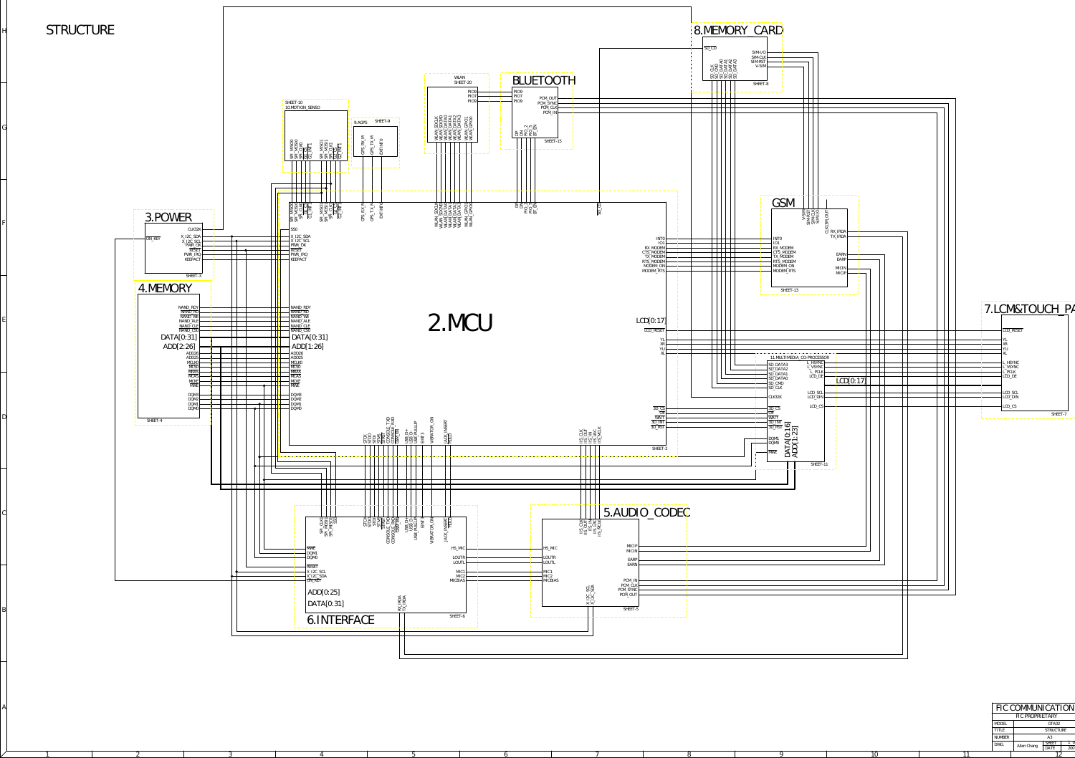1 2 3 4 5 6 7 8 9

A

B

 $\mathcal{C}_{0}^{(n)}$ 

D

E

F

G

H

|     |               | FIC COMMUNICATION |                  |     |
|-----|---------------|-------------------|------------------|-----|
|     |               | FIC PROPRIETARY   |                  |     |
|     | <b>MODEL</b>  |                   | GTA02            |     |
|     | <b>TITLE</b>  |                   | <b>STRUCTURE</b> |     |
|     | <b>NUMBER</b> |                   | A3               |     |
|     | DWG.          | Allen Chang       | <b>SHEET</b>     |     |
|     |               |                   | DATE             | 200 |
| 1 C |               |                   |                  |     |

STRUCTURE

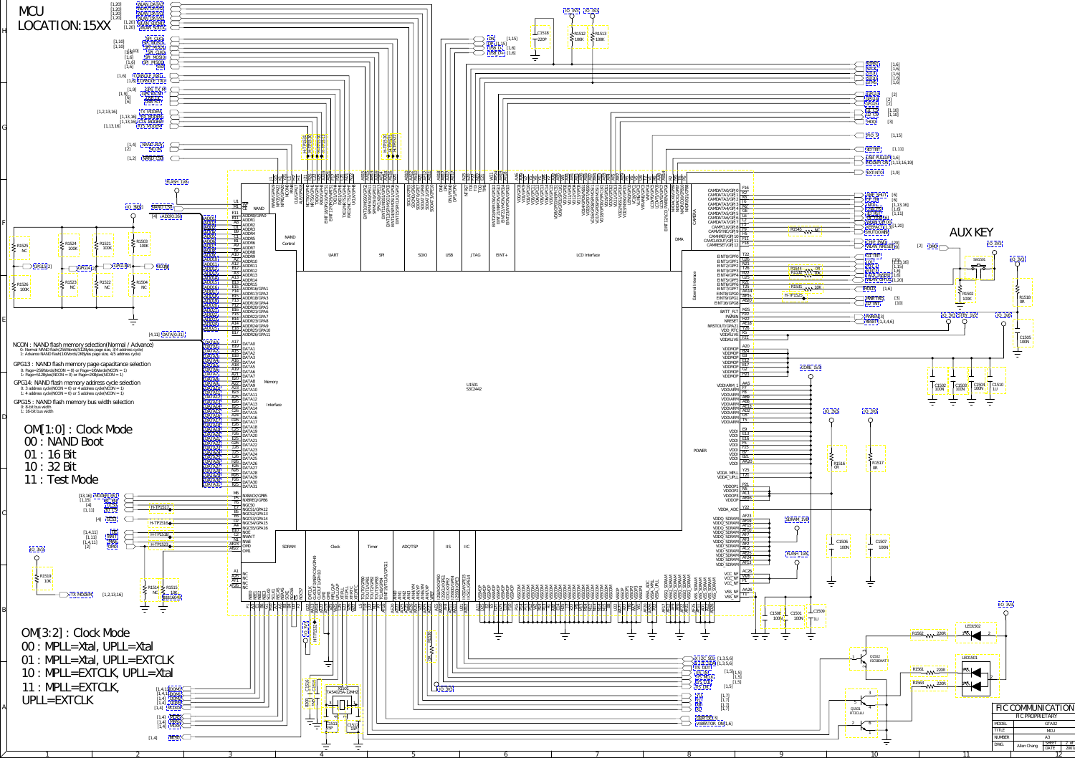<span id="page-1-0"></span>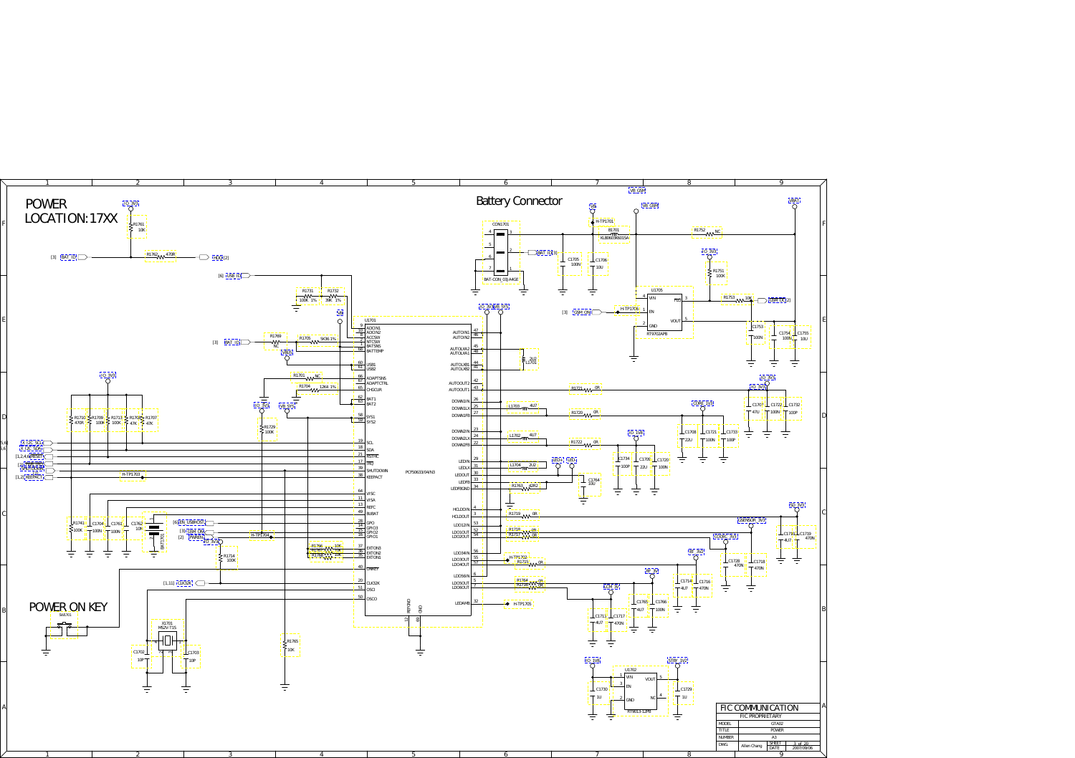<span id="page-2-0"></span>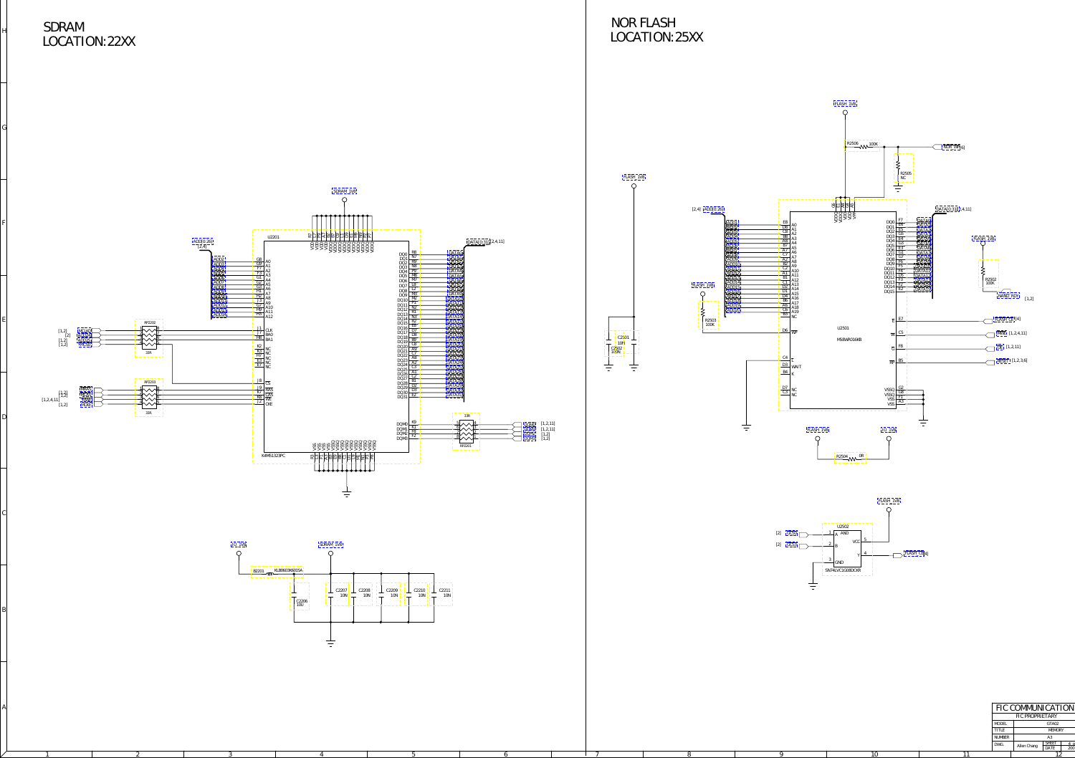A

B

 $\mathcal{C}_{0}^{(n)}$ 

D

E

F

G

<span id="page-3-0"></span>H

## LOCATION:22XX SDRAM

## LOCATION:25XX NOR FLASH



圭



 $4\circ$ 

200<sup>°</sup>

[SDRAM\\_1V8](#page-1-0)  $\circ$  $\frac{1}{2}$  day  $\frac{8}{2}$   $\frac{8}{2}$   $\frac{8}{2}$   $\frac{8}{2}$   $\frac{8}{2}$   $\frac{8}{2}$   $\frac{8}{2}$   $\frac{8}{2}$   $\frac{8}{2}$   $\frac{8}{2}$   $\frac{8}{2}$   $\frac{8}{2}$   $\frac{8}{2}$   $\frac{8}{2}$   $\frac{8}{2}$   $\frac{8}{2}$   $\frac{8}{2}$   $\frac{8}{2}$   $\frac{8}{2}$   $\frac{8}{2}$   $\frac{8}{2$ B2 C9 D9 F9 L1 M9 N9 P2 A3 VSS A7 VDD  $\frac{13}{12}$  VSS 228<br>  $\frac{13}{12}$  VSS 228<br>  $\frac{13}{12}$  VSS 228<br>  $\frac{13}{12}$  VSS 228  $\frac{83}{281}$  VSSQ B7 VSSQ B7 VSSQ B7 VSSQ B7 VSSQ B7 VSSQ B7 VSSQ B7 VSSQ B7 VSSQ B7 VSSQ B7 VSSQ B7 VSSQ B7 VSSQ B7 VSSQ B7 VSSQ B7 VSSQ B7 VSSQ B7 VSSQ B7 VSSQ B7 VSSQ B7 VSSQ B7 VSSQ B7 VSSQ B7 VSSQ B7 VSSQ B7 VSSQ B7 P3 VSSQ<br>P3 VSSQ<br><u>P8 VSSQ</u> VDDQ VDDQ VDDQ E1 VDDQ VDD VDDQ VDDQ VDDQ VDDQ U2201 DATA[0:31] [2,4,11] ADD[0:26] [2,4]  $DQ0 \frac{R8}{N7}$ DATA0  $DQ_1 \overline{N_0}$ DATA1  $\frac{G8}{G9}$  A0<br> $\frac{G9}{F7}$  A1 ADD2  $\overrightarrow{DQ2}$   $\frac{R9}{R2}$ DATA2 ADD3  $\overline{DQ3}$   $\frac{NS}{DS}$ DATA3 DATA4 DATA5 DATA6 DATA7  $\frac{F7}{F2}$  A2 ADD4  $\overline{DQ4}$   $P9$  $\frac{F3}{21}$  A3 ADD5 DQ5 <u>M8</u>  $\frac{G1}{G2}$  A4<br> $\frac{G2}{G3}$  A5<br> $\frac{G3}{H1}$  A6 ADD6 DQ6 M7 ADD7  $DQ7 \perp 8$ ADD8  $DQS \frac{L2}{10}$ DATA8 DATA9 DATA10 DATA11  $\frac{H1}{H2}$  A7<br> $\frac{H2}{H3}$  A8 ADD9  $\overline{DQ9}$   $\frac{M3}{10}$ ADD10  $DQ10 \frac{M2}{D1}$ ADD11  $\frac{J3}{27}$  A9  $\frac{PQ10}{PQ11}$ ADD12  $\frac{G7}{H0}$  A<sub>10</sub>  $\frac{DQ}{12}$   $\frac{N2}{R1}$ DATA12  $\frac{H9}{H2}$  A11 ADD13  $DQ13$   $R1$ DATA13  $\frac{H3}{A12}$ ADD14  $DQ14$   $\frac{N3}{D2}$ <u>)ATA1</u>  $DQ14$   $R2$ DATA15 RP2202  $DQ16$   $E8$ [DATA16](#page-1-0)  $\frac{J1}{17}$  CLK  $\frac{1}{4}$   $\frac{1}{4}$   $\frac{1}{4}$   $\frac{1}{4}$   $\frac{1}{4}$   $\frac{1}{4}$   $\frac{1}{4}$   $\frac{1}{4}$   $\frac{1}{4}$   $\frac{1}{4}$   $\frac{1}{4}$   $\frac{1}{4}$   $\frac{1}{4}$   $\frac{1}{4}$   $\frac{1}{4}$   $\frac{1}{4}$   $\frac{1}{4}$   $\frac{1}{4}$   $\frac{1}{4}$   $\frac{1}{4}$   $\frac{1}{4}$   $\frac{1}{4}$   $\frac{\text{DQ17}}{\text{DQ18}} \frac{\text{D7}}{\text{D8}}$ [1,2] [MCLK0](#page-1-0) [2] [ADD24](#page-1-0) [DATA17](#page-1-0)  $\frac{J7}{J8}$  BAO [DATA18](#page-1-0)  $\frac{H8}{BA1}$  $DQ19$   $\frac{B9}{C9}$ [DATA19](#page-1-0) [1,2] [ADD25](#page-1-0) [1,2] [MCS0](#page-1-0)  $DQ20 - 68$ [DATA20](#page-1-0)  $\frac{\text{K2}}{\text{K3}}$  NC<br> $\frac{\text{K3}}{\text{M7}}$  NC  $DQ21 - \frac{A9}{C7}$ [DATA21](#page-1-0) 33R  $DQ22$   $C7$ [DATA22](#page-1-0)  $\frac{H7}{E2}$  NC  $\frac{\text{DQ25}}{\text{A9}}$ [DATA23](#page-1-0) E3 NC<br>E7 NC<br>MC  $DQ24$   $A2$ [DATA24](#page-1-0) [DATA25](#page-1-0) DQ2  $DQ26$   $\frac{AI}{C2}$ [DATA26](#page-1-0)  $DQ27$   $C2$ [DATA27](#page-1-0)  $\frac{J8}{CS}$ [DATA28](#page-1-0) RP2203  $\frac{DQ}{DQ}$ [DATA29](#page-1-0) [DATA30](#page-1-0) 19<br><u>K7 CAS</u><br>K8 WE  $\frac{1}{2}$   $\frac{1}{2}$   $\frac{1}{2}$   $\frac{1}{2}$   $\frac{1}{2}$   $\frac{1}{2}$   $\frac{1}{2}$   $\frac{1}{2}$   $\frac{1}{2}$   $\frac{1}{2}$   $\frac{1}{2}$   $\frac{1}{2}$   $\frac{1}{2}$   $\frac{1}{2}$   $\frac{1}{2}$   $\frac{1}{2}$   $\frac{1}{2}$   $\frac{1}{2}$   $\frac{1}{2}$   $\frac{1}{2}$   $\frac{1}{2}$   $\frac{1}{2}$   $\left[1,2\right]$  [MRAS](#page-1-0)  $\begin{bmatrix} 1,2\\1,2,4,11 \end{bmatrix}$   $\begin{bmatrix} 1,2\\1,2 \end{bmatrix}$ DQ3 [DATA31](#page-1-0) DQ: J2 CKE [1,2] [MCKE](#page-1-0) 33R 33R F2 DQM3 F8 DQM2 K1 DQM1 K9 DQM0 5<br>2<br>2<br>3<br>2<br>2<br>2<br>1 DQM0 [1,2,11]<br>DQM1 [1,2,11]<br>DQM2 [1,2]<br>[DQM3](#page-1-0) [1,2] E TABBEL PELLE<br>PROSSES<br>PROSSESS **B**<br>B8<br>E9<br>E9 VSSQ RP2201 K4M51323PC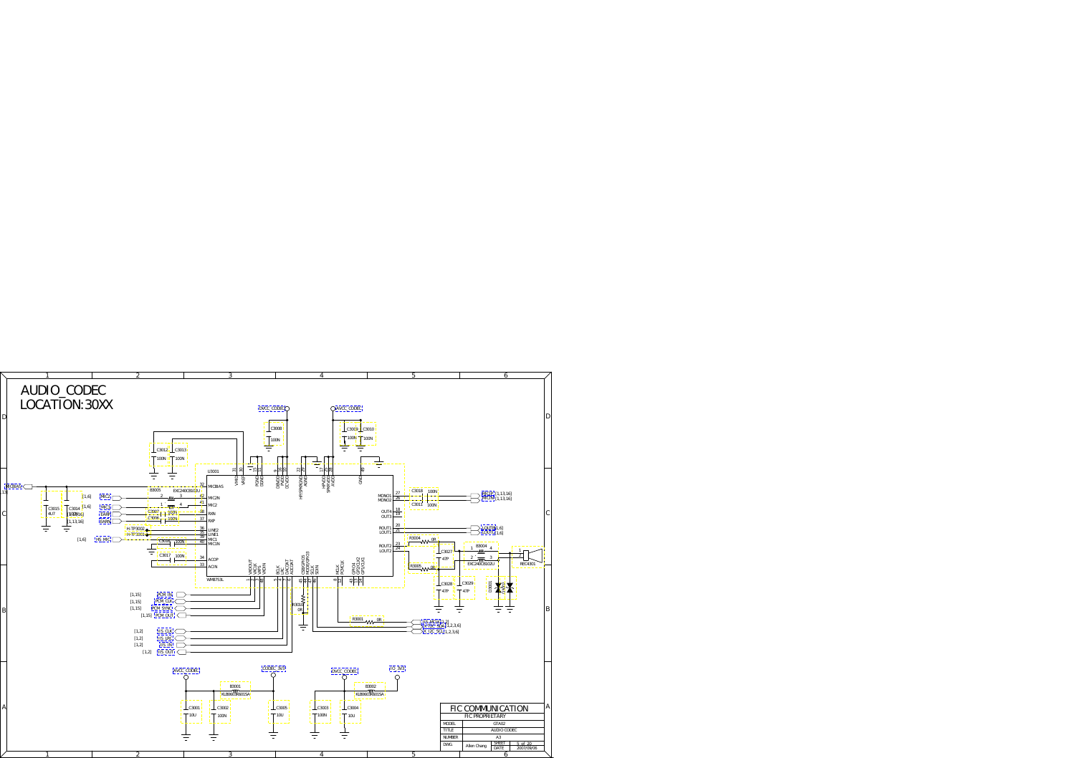<span id="page-4-0"></span>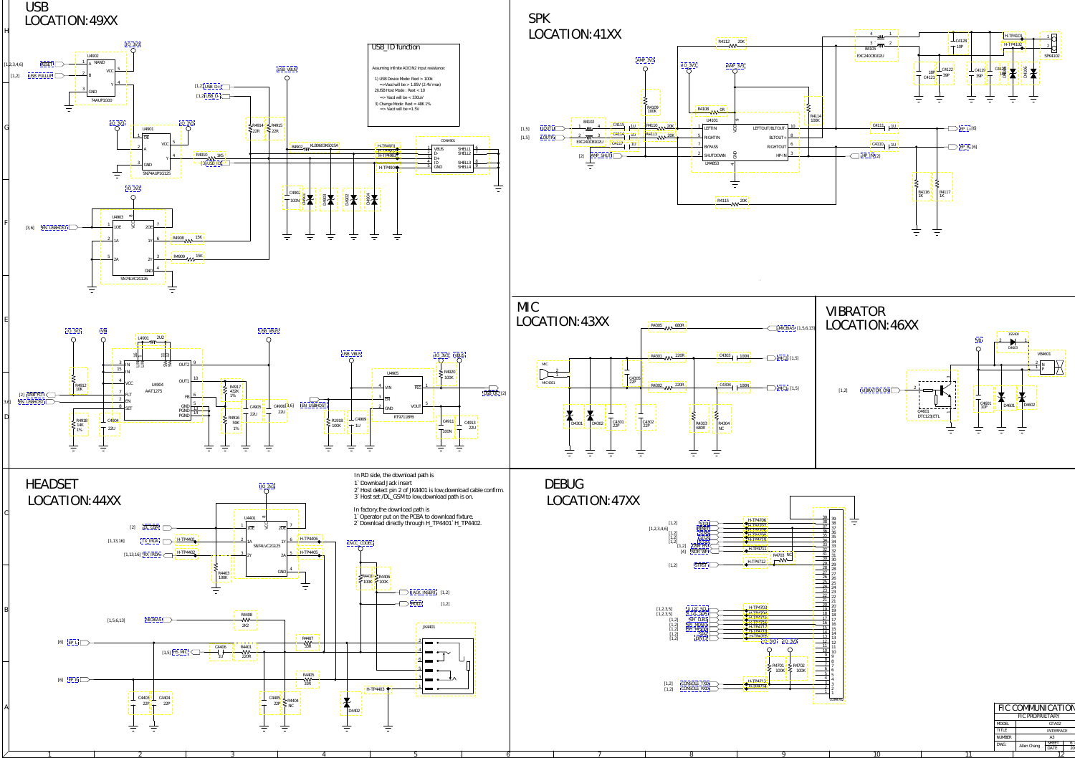<span id="page-5-0"></span>

## SHEET 6<br>DATE 201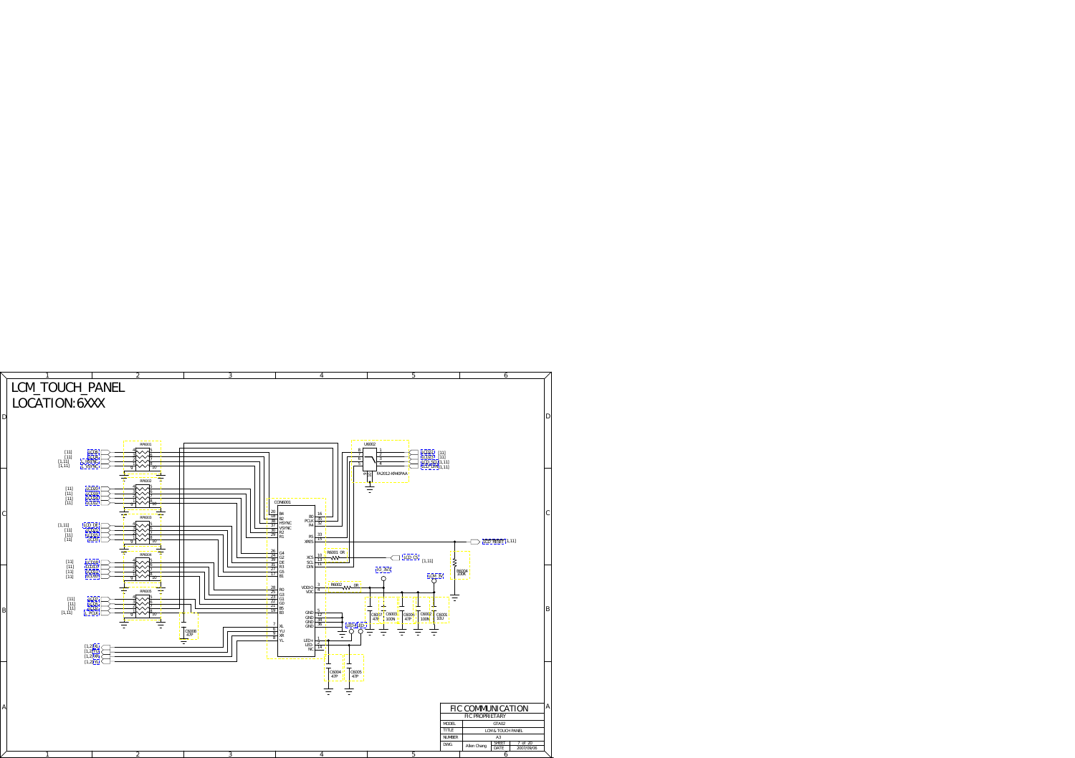<span id="page-6-0"></span>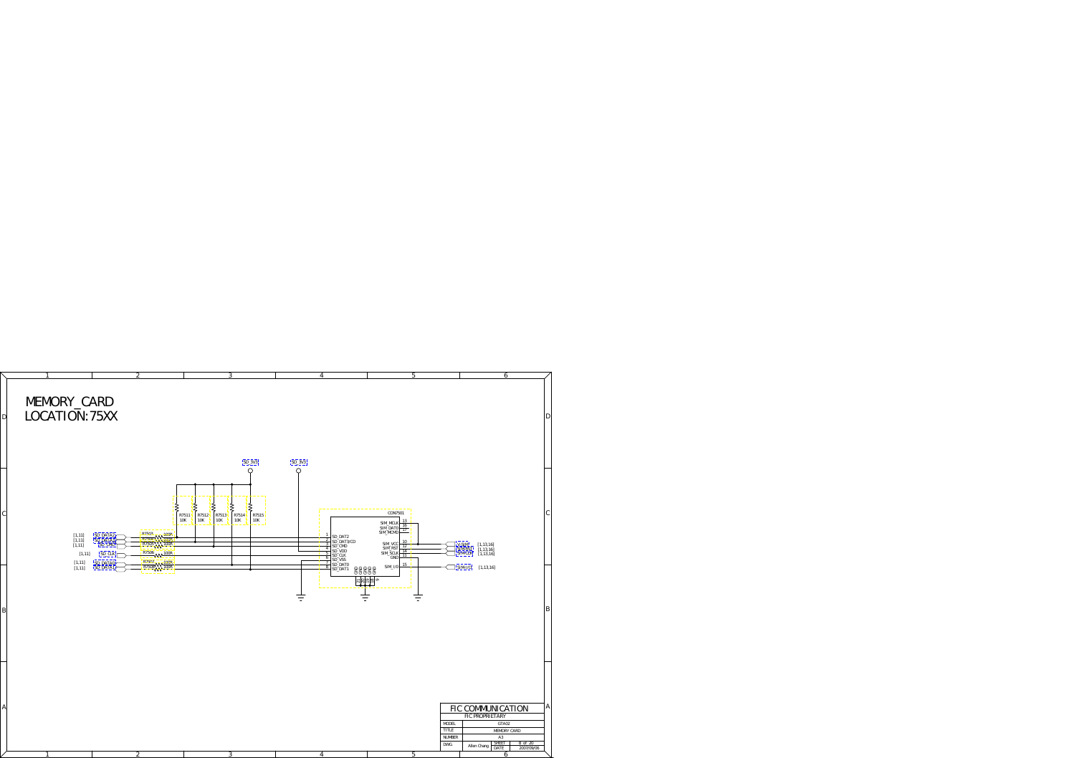<span id="page-7-0"></span>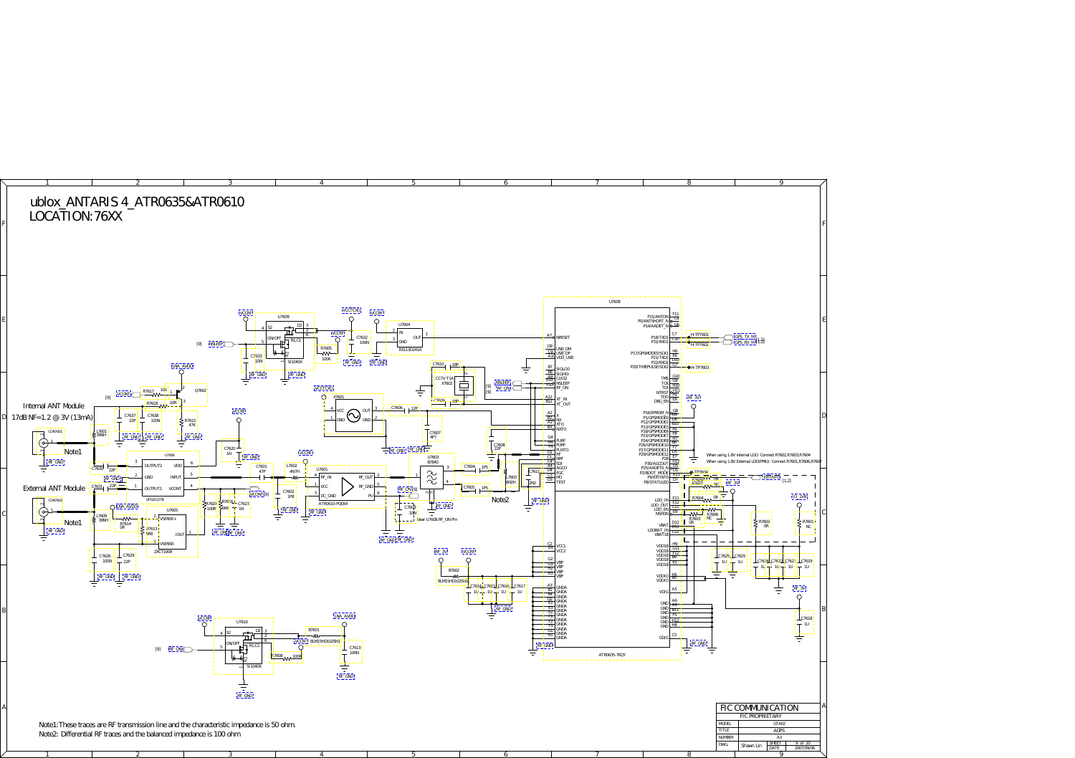<span id="page-8-0"></span>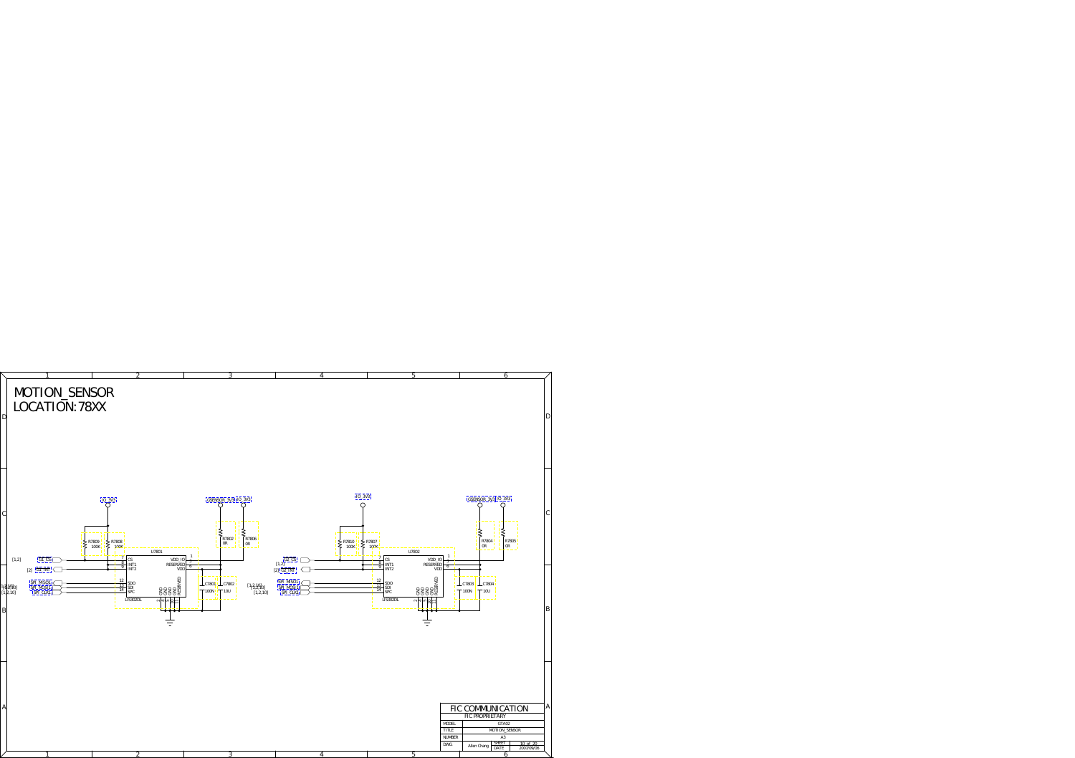<span id="page-9-0"></span>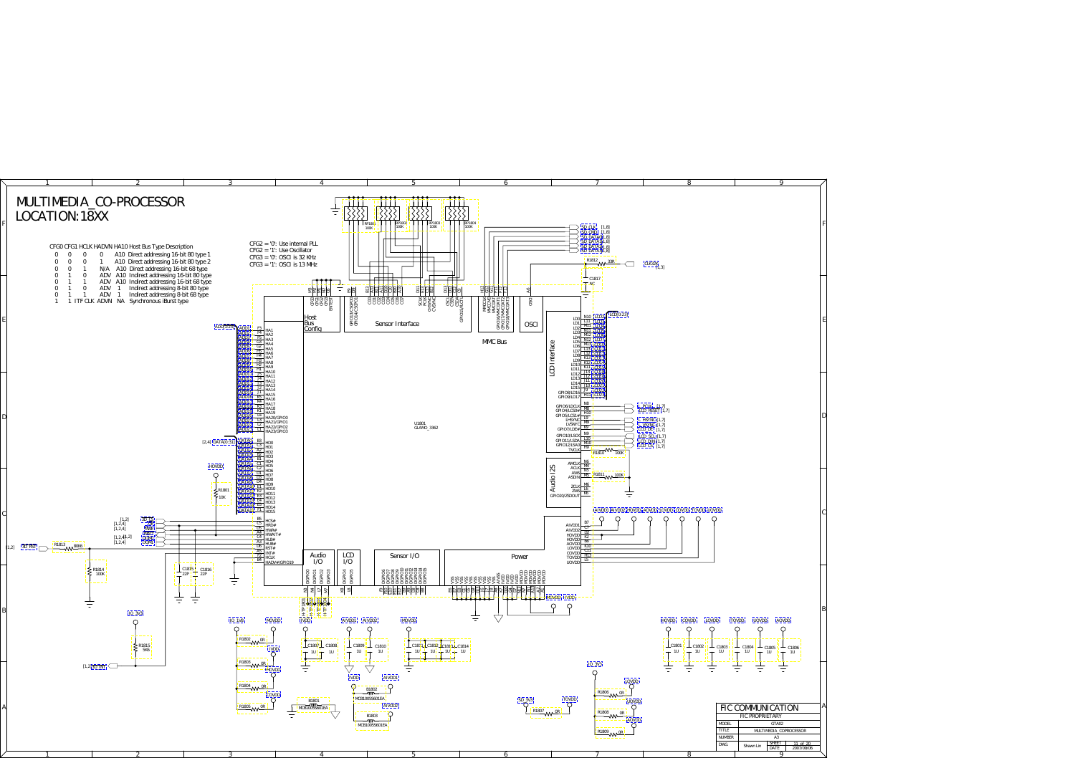<span id="page-10-0"></span>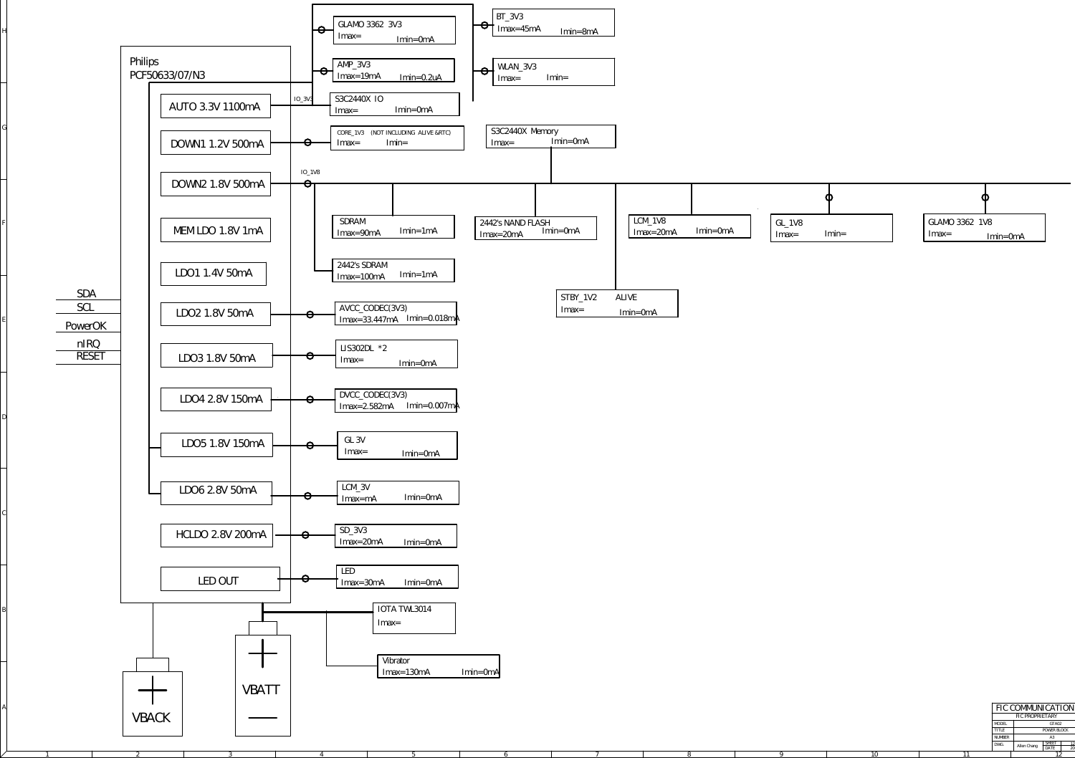H

G

F

E

D

 $\mathcal{C}_{0}^{(n)}$ 

B

A

| FIC COMMUNICATION |  |             |                      |    |  |  |  |
|-------------------|--|-------------|----------------------|----|--|--|--|
| FIC PROPRIETARY   |  |             |                      |    |  |  |  |
| <b>MODEL</b>      |  | GTA02       |                      |    |  |  |  |
| <b>TITLE</b>      |  | POWER BLOCK |                      |    |  |  |  |
| <b>NUMBER</b>     |  | A3          |                      |    |  |  |  |
| DWG.              |  | Allen Chang | <b>SHEET</b><br>DATE | 19 |  |  |  |
|                   |  |             |                      |    |  |  |  |

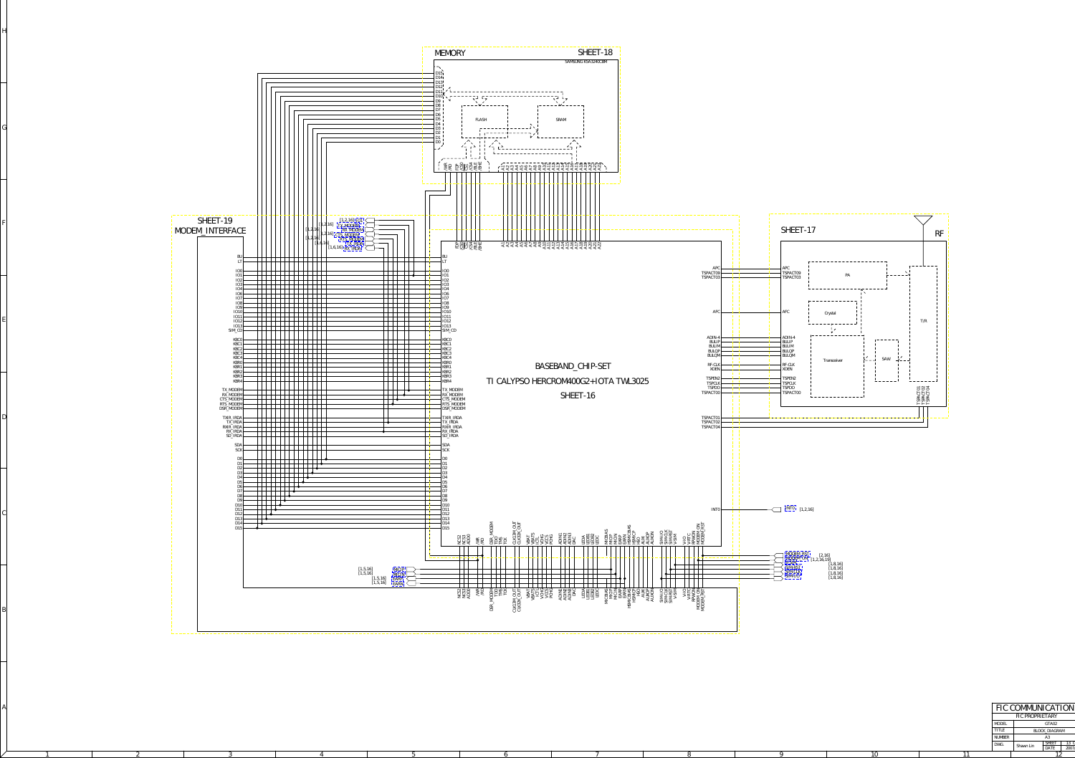<span id="page-12-0"></span>H

G

F

E

D

 $\mathcal{C}_{0}^{(n)}$ 

B

A

1 2 3 4 5 6 7 8 9



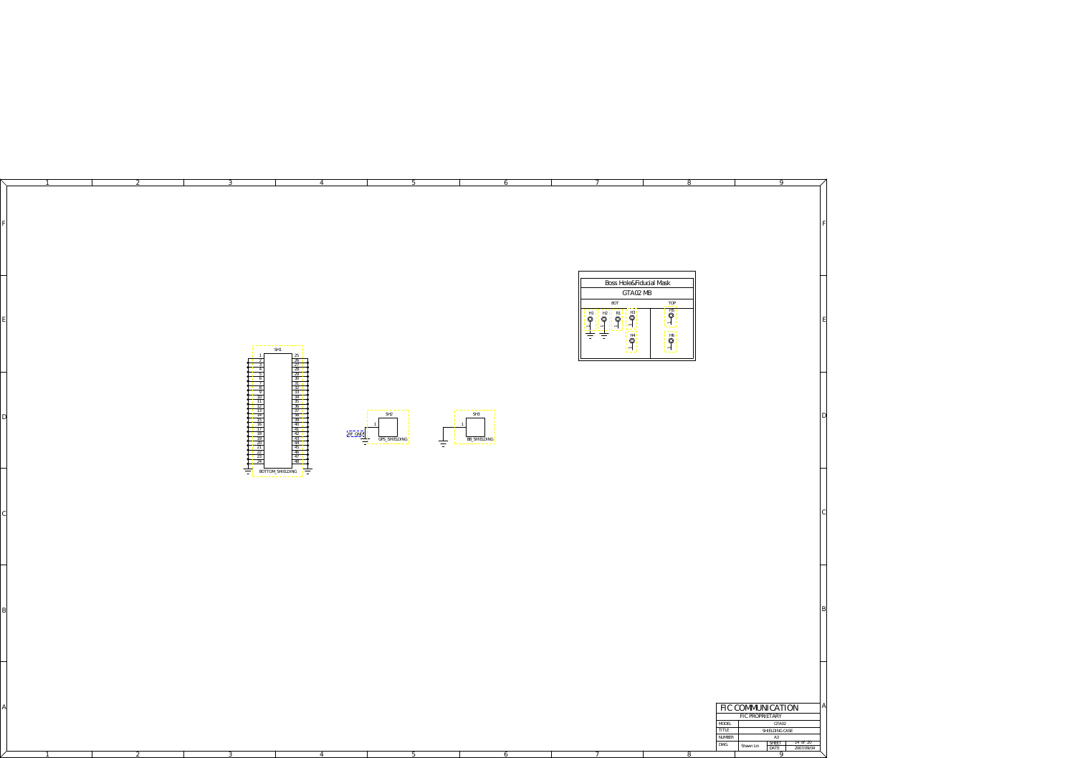<span id="page-13-0"></span>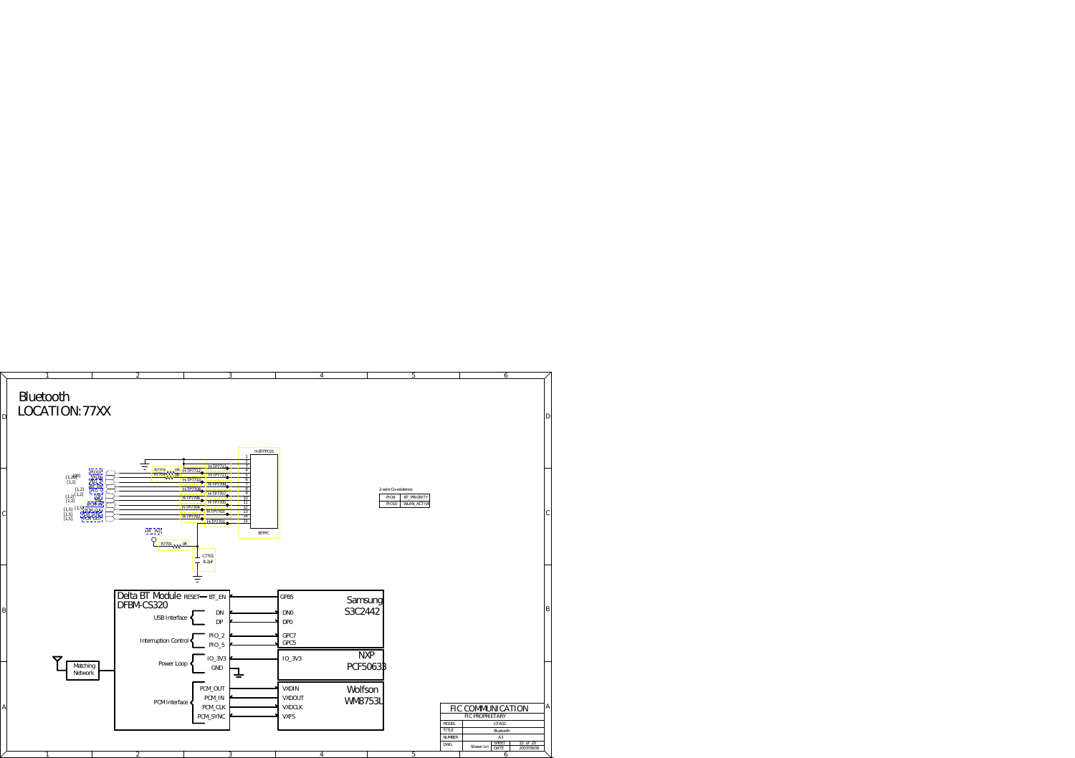<span id="page-14-0"></span>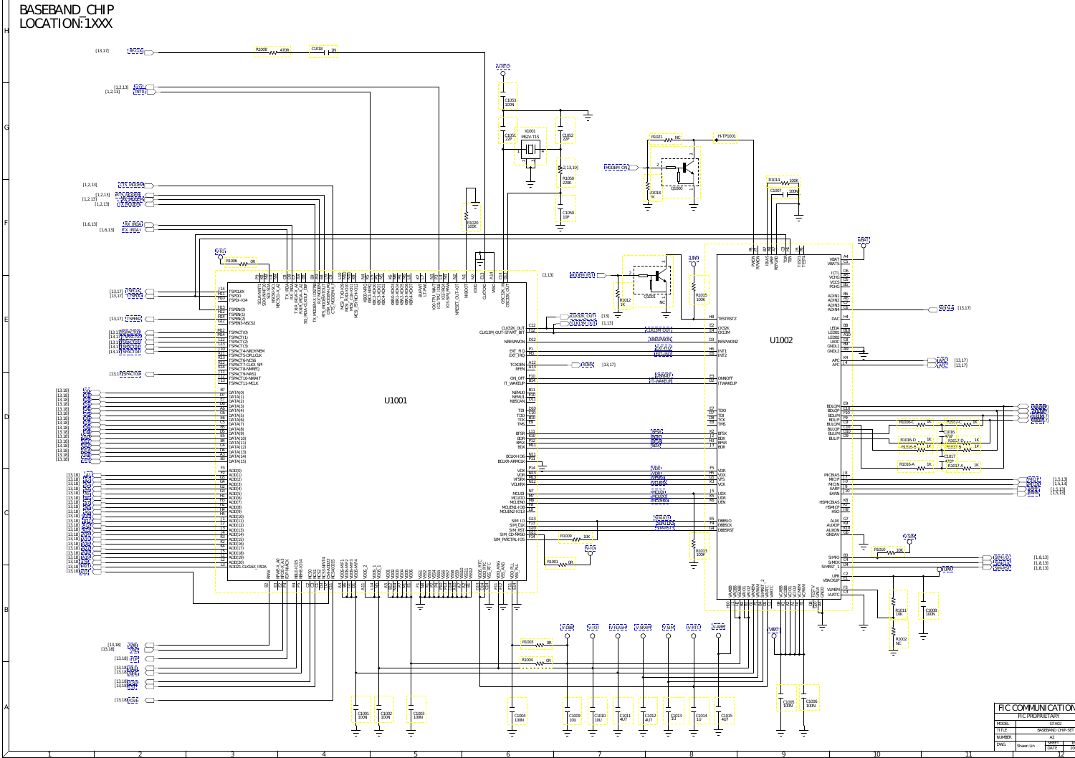<span id="page-15-0"></span>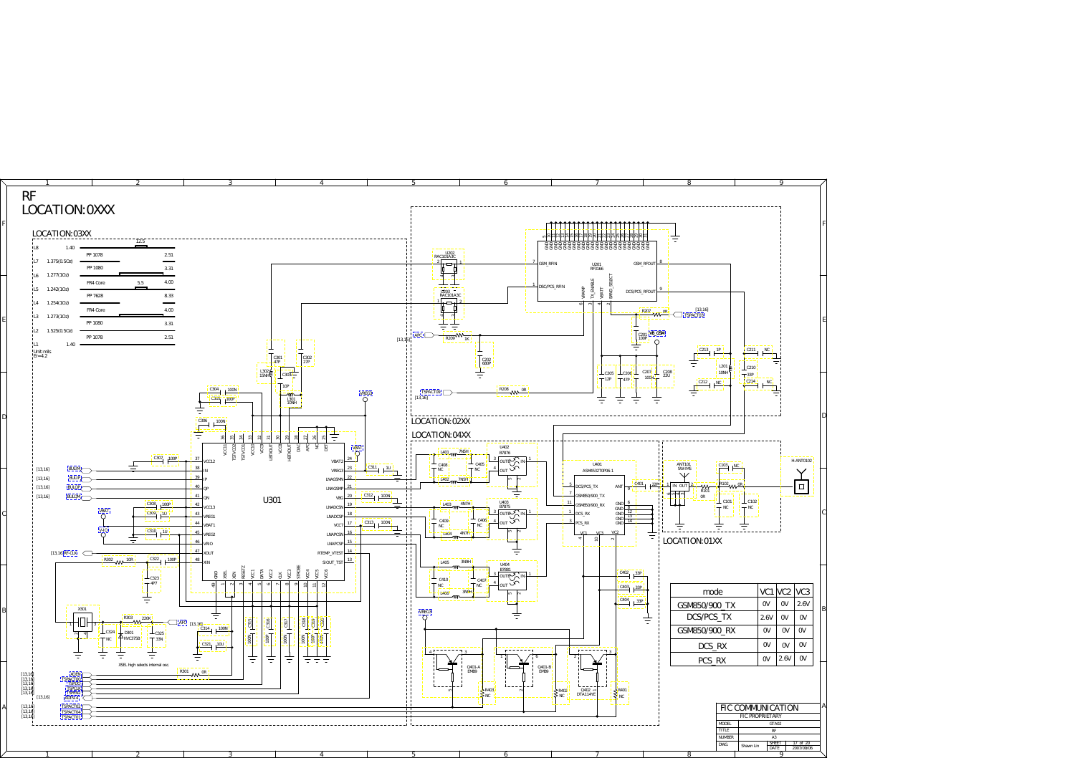<span id="page-16-0"></span>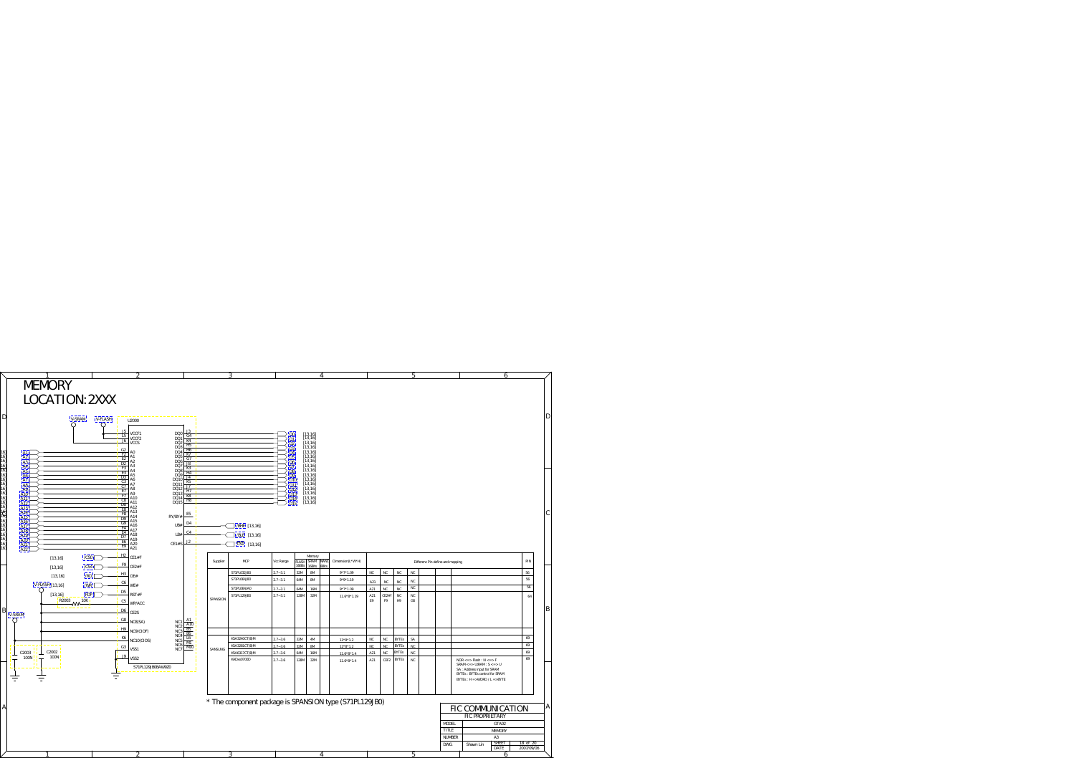<span id="page-17-0"></span>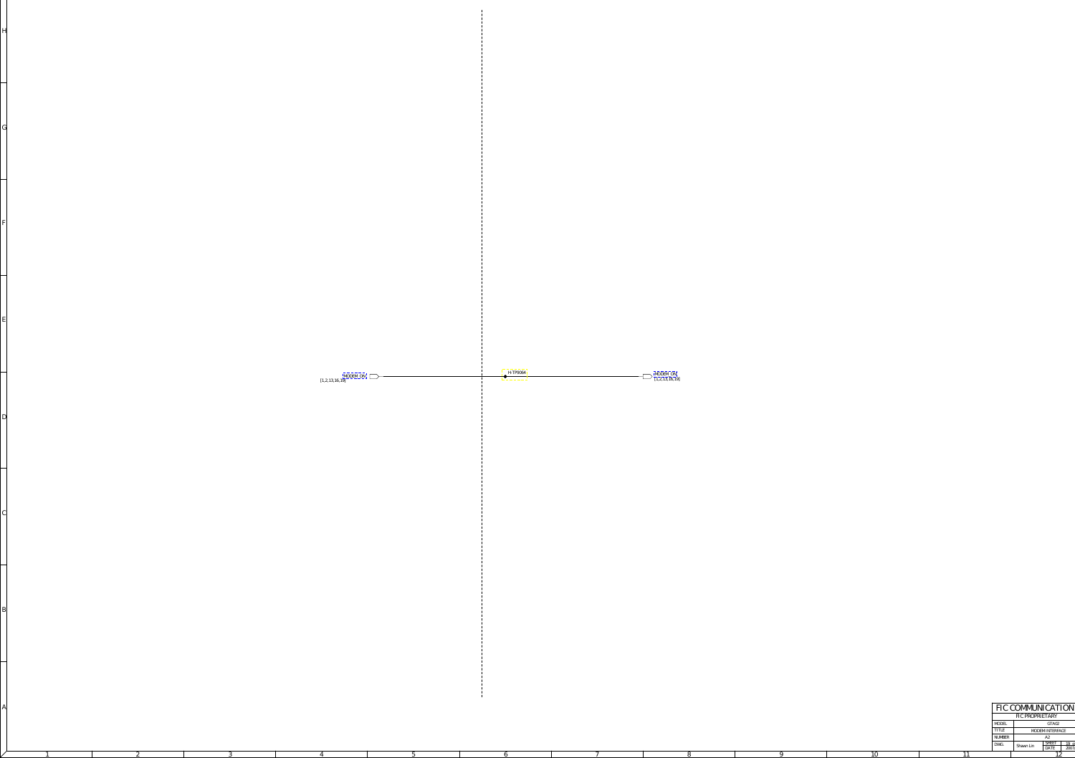

<span id="page-18-0"></span>